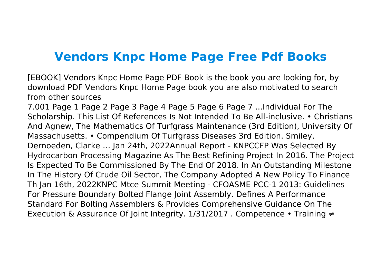## **Vendors Knpc Home Page Free Pdf Books**

[EBOOK] Vendors Knpc Home Page PDF Book is the book you are looking for, by download PDF Vendors Knpc Home Page book you are also motivated to search from other sources

7.001 Page 1 Page 2 Page 3 Page 4 Page 5 Page 6 Page 7 ...Individual For The Scholarship. This List Of References Is Not Intended To Be All-inclusive. • Christians And Agnew, The Mathematics Of Turfgrass Maintenance (3rd Edition), University Of Massachusetts. • Compendium Of Turfgrass Diseases 3rd Edition. Smiley, Dernoeden, Clarke … Jan 24th, 2022Annual Report - KNPCCFP Was Selected By Hydrocarbon Processing Magazine As The Best Refining Project In 2016. The Project Is Expected To Be Commissioned By The End Of 2018. In An Outstanding Milestone In The History Of Crude Oil Sector, The Company Adopted A New Policy To Finance Th Jan 16th, 2022KNPC Mtce Summit Meeting - CFOASME PCC-1 2013: Guidelines For Pressure Boundary Bolted Flange Joint Assembly. Defines A Performance Standard For Bolting Assemblers & Provides Comprehensive Guidance On The Execution & Assurance Of Joint Integrity. 1/31/2017 . Competence • Training ≠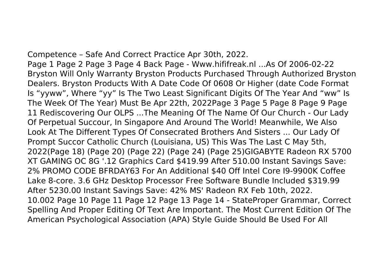Competence – Safe And Correct Practice Apr 30th, 2022.

Page 1 Page 2 Page 3 Page 4 Back Page - Www.hififreak.nl ...As Of 2006-02-22 Bryston Will Only Warranty Bryston Products Purchased Through Authorized Bryston Dealers. Bryston Products With A Date Code Of 0608 Or Higher (date Code Format Is "yyww", Where "yy" Is The Two Least Significant Digits Of The Year And "ww" Is The Week Of The Year) Must Be Apr 22th, 2022Page 3 Page 5 Page 8 Page 9 Page 11 Rediscovering Our OLPS ...The Meaning Of The Name Of Our Church - Our Lady Of Perpetual Succour, In Singapore And Around The World! Meanwhile, We Also Look At The Different Types Of Consecrated Brothers And Sisters ... Our Lady Of Prompt Succor Catholic Church (Louisiana, US) This Was The Last C May 5th, 2022(Page 18) (Page 20) (Page 22) (Page 24) (Page 25)GIGABYTE Radeon RX 5700 XT GAMING OC 8G '.12 Graphics Card \$419.99 After 510.00 Instant Savings Save: 2% PROMO CODE BFRDAY63 For An Additional \$40 Off Intel Core I9-9900K Coffee Lake 8-core. 3.6 GHz Desktop Processor Free Software Bundle Included \$319.99 After 5230.00 Instant Savings Save: 42% MS' Radeon RX Feb 10th, 2022. 10.002 Page 10 Page 11 Page 12 Page 13 Page 14 - StateProper Grammar, Correct Spelling And Proper Editing Of Text Are Important. The Most Current Edition Of The American Psychological Association (APA) Style Guide Should Be Used For All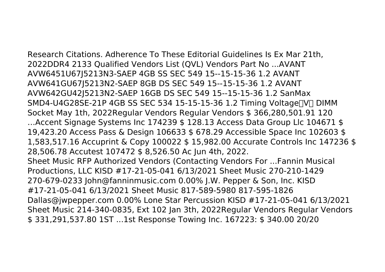Research Citations. Adherence To These Editorial Guidelines Is Ex Mar 21th, 2022DDR4 2133 Qualified Vendors List (QVL) Vendors Part No ...AVANT AVW6451U67J5213N3-SAEP 4GB SS SEC 549 15--15-15-36 1.2 AVANT AVW641GU67J5213N2-SAEP 8GB DS SEC 549 15--15-15-36 1.2 AVANT AVW642GU42J5213N2-SAEP 16GB DS SEC 549 15--15-15-36 1.2 SanMax SMD4-U4G28SE-21P 4GB SS SEC 534 15-15-15-36 1.2 Timing Voltage NO DIMM Socket May 1th, 2022Regular Vendors Regular Vendors \$ 366,280,501.91 120 …Accent Signage Systems Inc 174239 \$ 128.13 Access Data Group Llc 104671 \$ 19,423.20 Access Pass & Design 106633 \$ 678.29 Accessible Space Inc 102603 \$ 1,583,517.16 Accuprint & Copy 100022 \$ 15,982.00 Accurate Controls Inc 147236 \$ 28,506.78 Accutest 107472 \$ 8,526.50 Ac Jun 4th, 2022. Sheet Music RFP Authorized Vendors (Contacting Vendors For ...Fannin Musical Productions, LLC KISD #17-21-05-041 6/13/2021 Sheet Music 270-210-1429 270-679-0233 John@fanninmusic.com 0.00% J.W. Pepper & Son, Inc. KISD #17-21-05-041 6/13/2021 Sheet Music 817-589-5980 817-595-1826 Dallas@jwpepper.com 0.00% Lone Star Percussion KISD #17-21-05-041 6/13/2021 Sheet Music 214-340-0835, Ext 102 Jan 3th, 2022Regular Vendors Regular Vendors \$ 331,291,537.80 1ST ...1st Response Towing Inc. 167223: \$ 340.00 20/20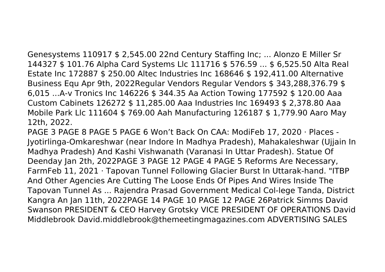Genesystems 110917 \$ 2,545.00 22nd Century Staffing Inc; ... Alonzo E Miller Sr 144327 \$ 101.76 Alpha Card Systems Llc 111716 \$ 576.59 ... \$ 6,525.50 Alta Real Estate Inc 172887 \$ 250.00 Altec Industries Inc 168646 \$ 192,411.00 Alternative Business Equ Apr 9th, 2022Regular Vendors Regular Vendors \$ 343,288,376.79 \$ 6,015 ...A-v Tronics Inc 146226 \$ 344.35 Aa Action Towing 177592 \$ 120.00 Aaa Custom Cabinets 126272 \$ 11,285.00 Aaa Industries Inc 169493 \$ 2,378.80 Aaa Mobile Park Llc 111604 \$ 769.00 Aah Manufacturing 126187 \$ 1,779.90 Aaro May 12th, 2022.

PAGE 3 PAGE 8 PAGE 5 PAGE 6 Won't Back On CAA: ModiFeb 17, 2020 · Places - Jyotirlinga-Omkareshwar (near Indore In Madhya Pradesh), Mahakaleshwar (Ujjain In Madhya Pradesh) And Kashi Vishwanath (Varanasi In Uttar Pradesh). Statue Of Deenday Jan 2th, 2022PAGE 3 PAGE 12 PAGE 4 PAGE 5 Reforms Are Necessary, FarmFeb 11, 2021 · Tapovan Tunnel Following Glacier Burst In Uttarak-hand. "ITBP And Other Agencies Are Cutting The Loose Ends Of Pipes And Wires Inside The Tapovan Tunnel As ... Rajendra Prasad Government Medical Col-lege Tanda, District Kangra An Jan 11th, 2022PAGE 14 PAGE 10 PAGE 12 PAGE 26Patrick Simms David Swanson PRESIDENT & CEO Harvey Grotsky VICE PRESIDENT OF OPERATIONS David Middlebrook David.middlebrook@themeetingmagazines.com ADVERTISING SALES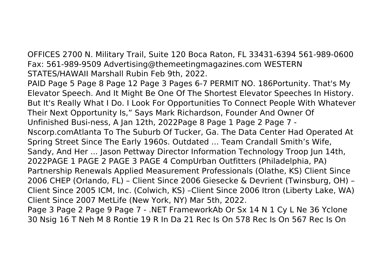OFFICES 2700 N. Military Trail, Suite 120 Boca Raton, FL 33431-6394 561-989-0600 Fax: 561-989-9509 Advertising@themeetingmagazines.com WESTERN STATES/HAWAII Marshall Rubin Feb 9th, 2022.

PAID Page 5 Page 8 Page 12 Page 3 Pages 6-7 PERMIT NO. 186Portunity. That's My Elevator Speech. And It Might Be One Of The Shortest Elevator Speeches In History. But It's Really What I Do. I Look For Opportunities To Connect People With Whatever Their Next Opportunity Is," Says Mark Richardson, Founder And Owner Of Unfinished Busi-ness, A Jan 12th, 2022Page 8 Page 1 Page 2 Page 7 - Nscorp.comAtlanta To The Suburb Of Tucker, Ga. The Data Center Had Operated At Spring Street Since The Early 1960s. Outdated ... Team Crandall Smith's Wife, Sandy, And Her ... Jason Pettway Director Information Technology Troop Jun 14th, 2022PAGE 1 PAGE 2 PAGE 3 PAGE 4 CompUrban Outfitters (Philadelphia, PA) Partnership Renewals Applied Measurement Professionals (Olathe, KS) Client Since 2006 CHEP (Orlando, FL) – Client Since 2006 Giesecke & Devrient (Twinsburg, OH) – Client Since 2005 ICM, Inc. (Colwich, KS) –Client Since 2006 Itron (Liberty Lake, WA) Client Since 2007 MetLife (New York, NY) Mar 5th, 2022.

Page 3 Page 2 Page 9 Page 7 - .NET FrameworkAb Or Sx 14 N 1 Cy L Ne 36 Yclone 30 Nsig 16 T Neh M 8 Rontie 19 R In Da 21 Rec Is On 578 Rec Is On 567 Rec Is On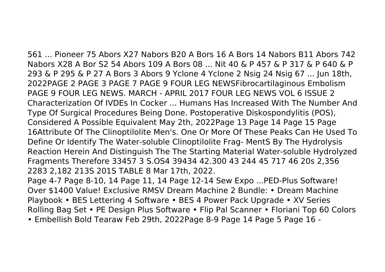561 ... Pioneer 75 Abors X27 Nabors B20 A Bors 16 A Bors 14 Nabors B11 Abors 742 Nabors X28 A Bor S2 54 Abors 109 A Bors 08 ... Nit 40 & P 457 & P 317 & P 640 & P 293 & P 295 & P 27 A Bors 3 Abors 9 Yclone 4 Yclone 2 Nsig 24 Nsig 67 ... Jun 18th, 2022PAGE 2 PAGE 3 PAGE 7 PAGE 9 FOUR LEG NEWSFibrocartilaginous Embolism PAGE 9 FOUR LEG NEWS. MARCH - APRIL 2017 FOUR LEG NEWS VOL 6 ISSUE 2 Characterization Of IVDEs In Cocker ... Humans Has Increased With The Number And Type Of Surgical Procedures Being Done. Postoperative Diskospondylitis (POS), Considered A Possible Equivalent May 2th, 2022Page 13 Page 14 Page 15 Page 16Attribute Of The Clinoptilolite Men's. One Or More Of These Peaks Can He Used To Define Or Identify The Water-soluble Clinoptilolite Frag- MentS By The Hydrolysis Reaction Herein And Distinguish The The Starting Material Water-soluble Hydrolyzed Fragments Therefore 33457 3 S.OS4 39434 42.300 43 244 45 717 46 20s 2,356 2283 2,182 213S 201S TABLE 8 Mar 17th, 2022. Page 4-7 Page 8-10, 14 Page 11, 14 Page 12-14 Sew Expo ...PED-Plus Software!

Over \$1400 Value! Exclusive RMSV Dream Machine 2 Bundle: • Dream Machine Playbook • BES Lettering 4 Software • BES 4 Power Pack Upgrade • XV Series Rolling Bag Set • PE Design Plus Software • Flip Pal Scanner • Floriani Top 60 Colors • Embellish Bold Tearaw Feb 29th, 2022Page 8-9 Page 14 Page 5 Page 16 -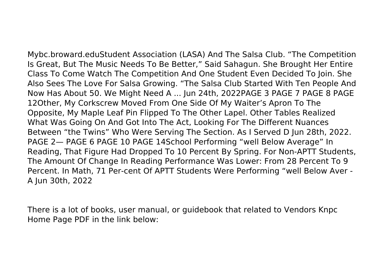Mybc.broward.eduStudent Association (LASA) And The Salsa Club. "The Competition Is Great, But The Music Needs To Be Better," Said Sahagun. She Brought Her Entire Class To Come Watch The Competition And One Student Even Decided To Join. She Also Sees The Love For Salsa Growing. "The Salsa Club Started With Ten People And Now Has About 50. We Might Need A ... Jun 24th, 2022PAGE 3 PAGE 7 PAGE 8 PAGE 12Other, My Corkscrew Moved From One Side Of My Waiter's Apron To The Opposite, My Maple Leaf Pin Flipped To The Other Lapel. Other Tables Realized What Was Going On And Got Into The Act, Looking For The Different Nuances Between "the Twins" Who Were Serving The Section. As I Served D Jun 28th, 2022. PAGE 2— PAGE 6 PAGE 10 PAGE 14School Performing "well Below Average" In Reading, That Figure Had Dropped To 10 Percent By Spring. For Non-APTT Students, The Amount Of Change In Reading Performance Was Lower: From 28 Percent To 9 Percent. In Math, 71 Per-cent Of APTT Students Were Performing "well Below Aver - A Jun 30th, 2022

There is a lot of books, user manual, or guidebook that related to Vendors Knpc Home Page PDF in the link below: